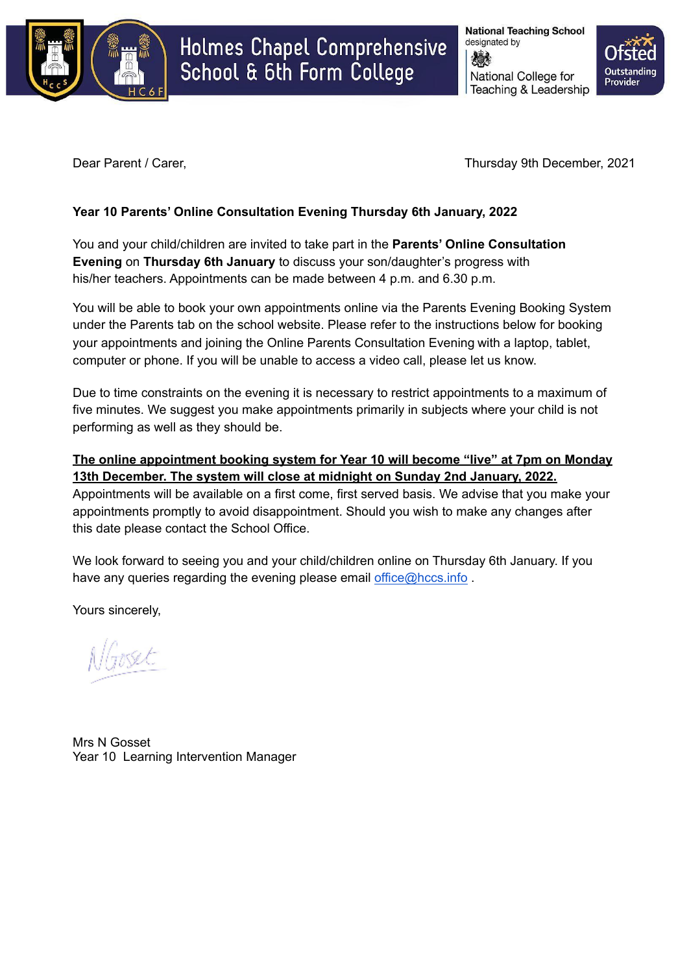

# Holmes Chapel Comprehensive School & 6th Form College

**National Teaching School** designated by National College for Teaching & Leadership



Dear Parent / Carer, Thursday 9th December, 2021

## **Year 10 Parents' Online Consultation Evening Thursday 6th January, 2022**

You and your child/children are invited to take part in the **Parents' Online Consultation Evening** on **Thursday 6th January** to discuss your son/daughter's progress with his/her teachers. Appointments can be made between 4 p.m. and 6.30 p.m.

You will be able to book your own appointments online via the Parents Evening Booking System under the Parents tab on the school website. Please refer to the instructions below for booking your appointments and joining the Online Parents Consultation Evening with a laptop, tablet, computer or phone. If you will be unable to access a video call, please let us know.

Due to time constraints on the evening it is necessary to restrict appointments to a maximum of five minutes. We suggest you make appointments primarily in subjects where your child is not performing as well as they should be.

## **The online appointment booking system for Year 10 will become "live" at 7pm on Monday 13th December. The system will close at midnight on Sunday 2nd January, 2022.**

Appointments will be available on a first come, first served basis. We advise that you make your appointments promptly to avoid disappointment. Should you wish to make any changes after this date please contact the School Office.

We look forward to seeing you and your child/children online on Thursday 6th January. If you have any queries regarding the evening please email [office@hccs.info](mailto:office@hccs.info).

Yours sincerely,

Mrs N Gosset Year 10 Learning Intervention Manager